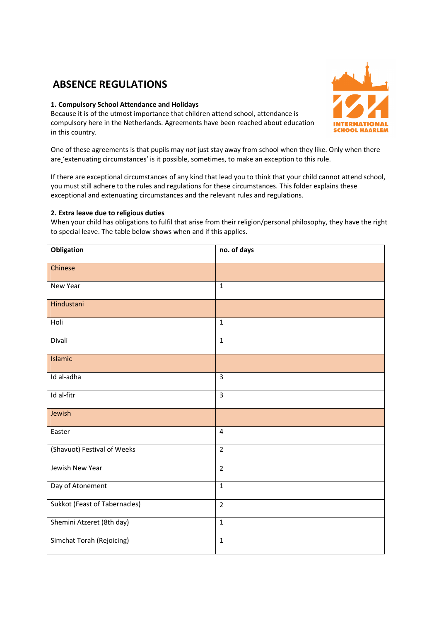# **ABSENCE REGULATIONS**

## **1. Compulsory School Attendance and Holidays**

Because it is of the utmost importance that children attend school, attendance is compulsory here in the Netherlands. Agreements have been reached about education in this country.



One of these agreements is that pupils may *not* just stay away from school when they like. Only when there are 'extenuating circumstances' is it possible, sometimes, to make an exception to this rule.

If there are exceptional circumstances of any kind that lead you to think that your child cannot attend school, you must still adhere to the rules and regulations for these circumstances. This folder explains these exceptional and extenuating circumstances and the relevant rules and regulations.

## **2. Extra leave due to religious duties**

When your child has obligations to fulfil that arise from their religion/personal philosophy, they have the right to special leave. The table below shows when and if this applies.

| Obligation                    | no. of days    |
|-------------------------------|----------------|
| Chinese                       |                |
| New Year                      | $\mathbf 1$    |
| Hindustani                    |                |
| Holi                          | $\mathbf 1$    |
| Divali                        | $\mathbf 1$    |
| Islamic                       |                |
| Id al-adha                    | $\overline{3}$ |
| Id al-fitr                    | $\overline{3}$ |
| Jewish                        |                |
| Easter                        | $\overline{4}$ |
| (Shavuot) Festival of Weeks   | $\overline{2}$ |
| Jewish New Year               | $\overline{2}$ |
| Day of Atonement              | $\mathbf 1$    |
| Sukkot (Feast of Tabernacles) | $\overline{2}$ |
| Shemini Atzeret (8th day)     | $\mathbf{1}$   |
| Simchat Torah (Rejoicing)     | $\mathbf 1$    |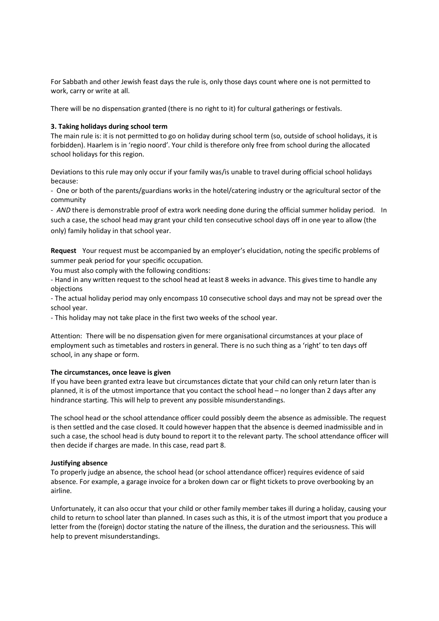For Sabbath and other Jewish feast days the rule is, only those days count where one is not permitted to work, carry or write at all.

There will be no dispensation granted (there is no right to it) for cultural gatherings or festivals.

#### **3. Taking holidays during school term**

The main rule is: it is not permitted to go on holiday during school term (so, outside of school holidays, it is forbidden). Haarlem is in 'regio noord'. Your child is therefore only free from school during the allocated school holidays for this region.

Deviations to this rule may only occur if your family was/is unable to travel during official school holidays because:

- One or both of the parents/guardians works in the hotel/catering industry or the agricultural sector of the community

- AND there is demonstrable proof of extra work needing done during the official summer holiday period. In such a case, the school head may grant your child ten consecutive school days off in one year to allow (the only) family holiday in that school year.

**Request**  Your request must be accompanied by an employer's elucidation, noting the specific problems of summer peak period for your specific occupation.

You must also comply with the following conditions:

- Hand in any written request to the school head at least 8 weeks in advance. This gives time to handle any objections

- The actual holiday period may only encompass 10 consecutive school days and may not be spread over the school year.

- This holiday may not take place in the first two weeks of the school year.

Attention: There will be no dispensation given for mere organisational circumstances at your place of employment such as timetables and rosters in general. There is no such thing as a 'right' to ten days off school, in any shape or form.

## **The circumstances, once leave is given**

If you have been granted extra leave but circumstances dictate that your child can only return later than is planned, it is of the utmost importance that you contact the school head – no longer than 2 days after any hindrance starting. This will help to prevent any possible misunderstandings.

The school head or the school attendance officer could possibly deem the absence as admissible. The request is then settled and the case closed. It could however happen that the absence is deemed inadmissible and in such a case, the school head is duty bound to report it to the relevant party. The school attendance officer will then decide if charges are made. In this case, read part 8.

## **Justifying absence**

To properly judge an absence, the school head (or school attendance officer) requires evidence of said absence. For example, a garage invoice for a broken down car or flight tickets to prove overbooking by an airline.

Unfortunately, it can also occur that your child or other family member takes ill during a holiday, causing your child to return to school later than planned. In cases such as this, it is of the utmost import that you produce a letter from the (foreign) doctor stating the nature of the illness, the duration and the seriousness. This will help to prevent misunderstandings.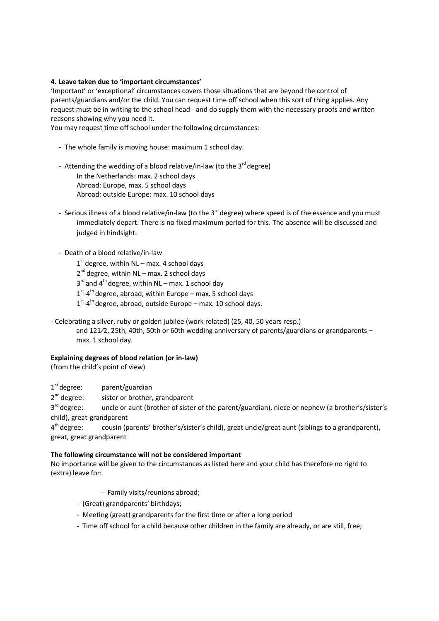## **4. Leave taken due to 'important circumstances'**

'Important' or 'exceptional' circumstances covers those situations that are beyond the control of parents/guardians and/or the child. You can request time off school when this sort of thing applies. Any request must be in writing to the school head - and do supply them with the necessary proofs and written reasons showing why you need it.

You may request time off school under the following circumstances:

- The whole family is moving house: maximum 1 school day.
- Attending the wedding of a blood relative/in-law (to the  $3^{rd}$  degree) In the Netherlands: max. 2 school days Abroad: Europe, max. 5 school days Abroad: outside Europe: max. 10 school days
- Serious illness of a blood relative/in-law (to the 3<sup>rd</sup> degree) where speed is of the essence and you must immediately depart. There is no fixed maximum period for this. The absence will be discussed and judged in hindsight.
- Death of a blood relative/in-law
	- $1<sup>st</sup>$  degree, within NL max. 4 school days
	- 2<sup>nd</sup> degree, within NL max. 2 school days
	- $3<sup>rd</sup>$  and  $4<sup>th</sup>$  degree, within NL max. 1 school day
	- $1<sup>st</sup>$ -4<sup>th</sup> degree, abroad, within Europe max. 5 school days
	- $1<sup>st</sup>$ -4<sup>th</sup> degree, abroad, outside Europe max. 10 school days.
- Celebrating a silver, ruby or golden jubilee (work related) (25, 40, 50 years resp.)
	- and 121⁄2, 25th, 40th, 50th or 60th wedding anniversary of parents/guardians or grandparents max. 1 school day.

# **Explaining degrees of blood relation (or in-law)**

(from the child's point of view)

 $1<sup>st</sup>$  degree: parent/guardian

 $2^{nd}$  degree: sister or brother, grandparent

 $3<sup>rd</sup>$  degree: uncle or aunt (brother of sister of the parent/guardian), niece or nephew (a brother's/sister's child), great-grandparent

 $4<sup>th</sup>$  degree: cousin (parents' brother's/sister's child), great uncle/great aunt (siblings to a grandparent), great, great grandparent

# **The following circumstance will not be considered important**

No importance will be given to the circumstances as listed here and your child has therefore no right to (extra) leave for:

- Family visits/reunions abroad;
- (Great) grandparents' birthdays;
- Meeting (great) grandparents for the first time or after a long period
- Time off school for a child because other children in the family are already, or are still, free;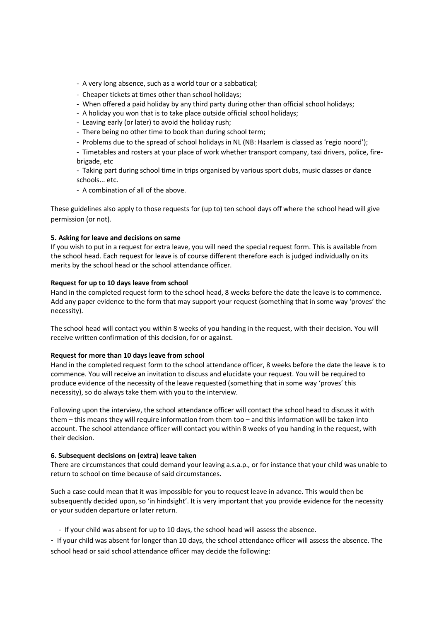- A very long absence, such as a world tour or a sabbatical;
- Cheaper tickets at times other than school holidays;
- When offered a paid holiday by any third party during other than official school holidays;
- A holiday you won that is to take place outside official school holidays;
- Leaving early (or later) to avoid the holiday rush;
- There being no other time to book than during school term;
- Problems due to the spread of school holidays in NL (NB: Haarlem is classed as 'regio noord');
- Timetables and rosters at your place of work whether transport company, taxi drivers, police, firebrigade, etc
- Taking part during school time in trips organised by various sport clubs, music classes or dance schools... etc.
- A combination of all of the above.

These guidelines also apply to those requests for (up to) ten school days off where the school head will give permission (or not).

## **5. Asking for leave and decisions on same**

If you wish to put in a request for extra leave, you will need the special request form. This is available from the school head. Each request for leave is of course different therefore each is judged individually on its merits by the school head or the school attendance officer.

## **Request for up to 10 days leave from school**

Hand in the completed request form to the school head, 8 weeks before the date the leave is to commence. Add any paper evidence to the form that may support your request (something that in some way 'proves' the necessity).

The school head will contact you within 8 weeks of you handing in the request, with their decision. You will receive written confirmation of this decision, for or against.

## **Request for more than 10 days leave from school**

Hand in the completed request form to the school attendance officer, 8 weeks before the date the leave is to commence. You will receive an invitation to discuss and elucidate your request. You will be required to produce evidence of the necessity of the leave requested (something that in some way 'proves' this necessity), so do always take them with you to the interview.

Following upon the interview, the school attendance officer will contact the school head to discuss it with them – this means they will require information from them too – and this information will be taken into account. The school attendance officer will contact you within 8 weeks of you handing in the request, with their decision.

## **6. Subsequent decisions on (extra) leave taken**

There are circumstances that could demand your leaving a.s.a.p., or for instance that your child was unable to return to school on time because of said circumstances.

Such a case could mean that it was impossible for you to request leave in advance. This would then be subsequently decided upon, so 'in hindsight'. It is very important that you provide evidence for the necessity or your sudden departure or later return.

- If your child was absent for up to 10 days, the school head will assess the absence.

- If your child was absent for longer than 10 days, the school attendance officer will assess the absence. The school head or said school attendance officer may decide the following: